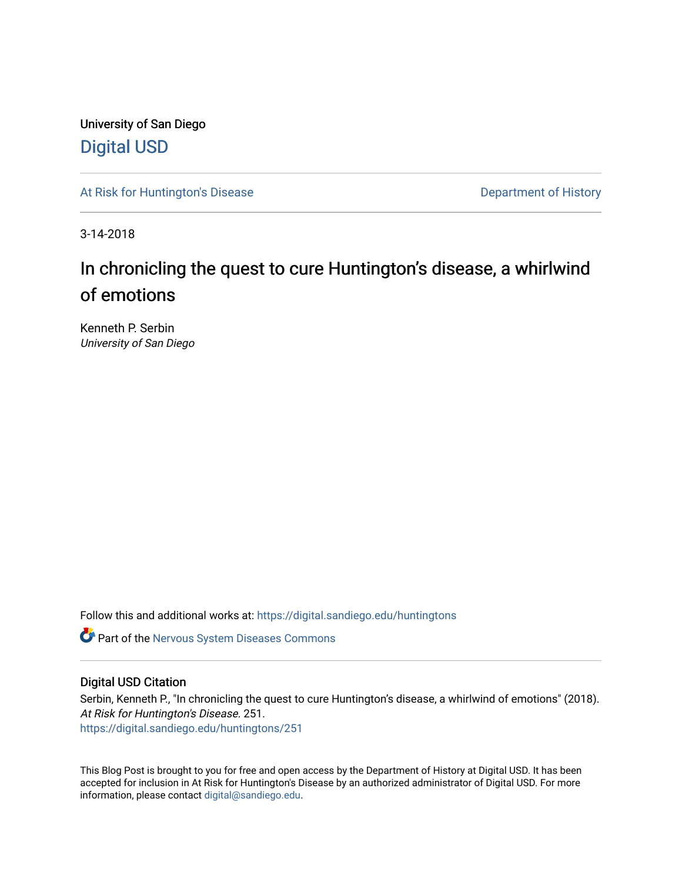University of San Diego [Digital USD](https://digital.sandiego.edu/)

[At Risk for Huntington's Disease](https://digital.sandiego.edu/huntingtons) **Department of History** Department of History

3-14-2018

# In chronicling the quest to cure Huntington's disease, a whirlwind of emotions

Kenneth P. Serbin University of San Diego

Follow this and additional works at: [https://digital.sandiego.edu/huntingtons](https://digital.sandiego.edu/huntingtons?utm_source=digital.sandiego.edu%2Fhuntingtons%2F251&utm_medium=PDF&utm_campaign=PDFCoverPages)

**C** Part of the [Nervous System Diseases Commons](http://network.bepress.com/hgg/discipline/928?utm_source=digital.sandiego.edu%2Fhuntingtons%2F251&utm_medium=PDF&utm_campaign=PDFCoverPages)

## Digital USD Citation

Serbin, Kenneth P., "In chronicling the quest to cure Huntington's disease, a whirlwind of emotions" (2018). At Risk for Huntington's Disease. 251. [https://digital.sandiego.edu/huntingtons/251](https://digital.sandiego.edu/huntingtons/251?utm_source=digital.sandiego.edu%2Fhuntingtons%2F251&utm_medium=PDF&utm_campaign=PDFCoverPages)

This Blog Post is brought to you for free and open access by the Department of History at Digital USD. It has been accepted for inclusion in At Risk for Huntington's Disease by an authorized administrator of Digital USD. For more information, please contact [digital@sandiego.edu.](mailto:digital@sandiego.edu)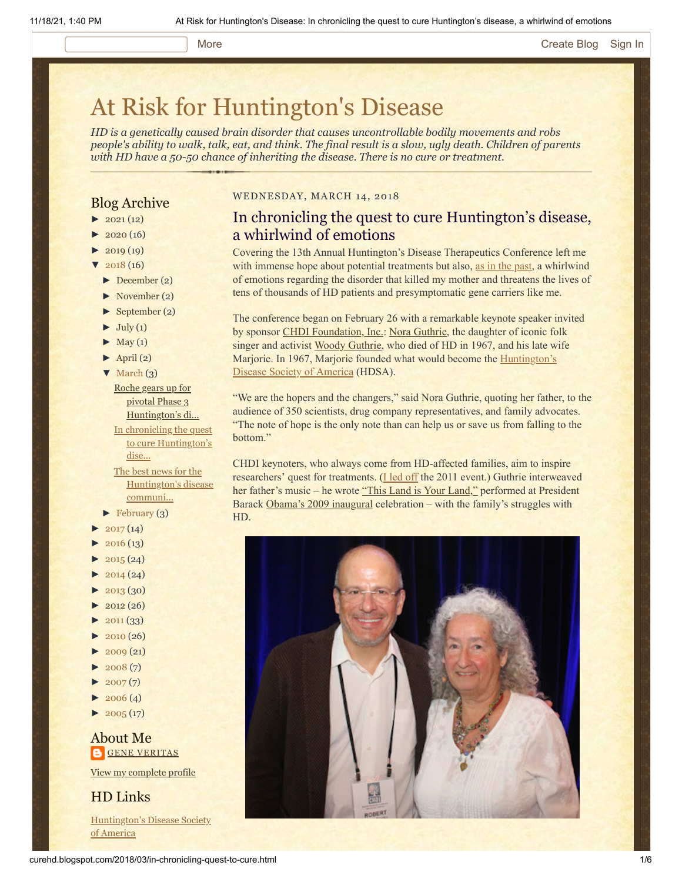### More **[Create Blog](https://www.blogger.com/home#create) [Sign In](https://www.blogger.com/)**

# [At Risk for Huntington's Disease](http://curehd.blogspot.com/)

*HD is a genetically caused brain disorder that causes uncontrollable bodily movements and robs people's ability to walk, talk, eat, and think. The final result is a slow, ugly death. Children of parents with HD have a 50-50 chance of inheriting the disease. There is no cure or treatment.*

# Blog Archive

- $\blacktriangleright$  [2021](http://curehd.blogspot.com/2021/) (12)
- $2020(16)$  $2020(16)$
- $2019(19)$  $2019(19)$
- $2018(16)$  $2018(16)$
- [►](javascript:void(0)) [December](http://curehd.blogspot.com/2018/12/) (2)
- [►](javascript:void(0)) [November](http://curehd.blogspot.com/2018/11/) (2)
- [►](javascript:void(0)) [September](http://curehd.blogspot.com/2018/09/) (2)
- $\blacktriangleright$  [July](http://curehd.blogspot.com/2018/07/) (1)
- $\blacktriangleright$  [May](http://curehd.blogspot.com/2018/05/) (1)
- $\blacktriangleright$  [April](http://curehd.blogspot.com/2018/04/) (2)
- $\nabla$  [March](http://curehd.blogspot.com/2018/03/)  $(3)$ Roche gears up for
- pivotal Phase 3 [Huntington's](http://curehd.blogspot.com/2018/03/roche-gears-up-for-pivotal-phase-3.html) di... In chronicling the quest to cure [Huntington's](http://curehd.blogspot.com/2018/03/in-chronicling-quest-to-cure.html) dise...

The best news for the [Huntington's](http://curehd.blogspot.com/2018/03/ionis-phase-12a-clinical-trial-data.html) disease communi...

- $\blacktriangleright$  [February](http://curehd.blogspot.com/2018/02/) (3)
- $2017(14)$  $2017(14)$
- $2016(13)$  $2016(13)$
- $\blacktriangleright$  [2015](http://curehd.blogspot.com/2015/) (24)
- $2014(24)$  $2014(24)$
- [►](javascript:void(0)) [2013](http://curehd.blogspot.com/2013/) (30)
- $\blacktriangleright$  [2012](http://curehd.blogspot.com/2012/) (26)
- $\blacktriangleright$  [2011](http://curehd.blogspot.com/2011/) (33)
- $\blacktriangleright$  [2010](http://curehd.blogspot.com/2010/) (26)
- $-2009(21)$  $-2009(21)$  $-2009(21)$
- $2008(7)$  $2008(7)$
- $\blacktriangleright$  [2007](http://curehd.blogspot.com/2007/) $(7)$
- $\blacktriangleright$  [2006](http://curehd.blogspot.com/2006/) (4)
- $\blacktriangleright$  [2005](http://curehd.blogspot.com/2005/) (17)

#### About Me **GENE [VERITAS](https://www.blogger.com/profile/10911736205741688185)**

View my [complete](https://www.blogger.com/profile/10911736205741688185) profile

### HD Links

[Huntington's](http://www.hdsa.org/) Disease Society of America

#### WEDNESDAY, MARCH 14, 2018

# In chronicling the quest to cure Huntington's disease, a whirlwind of emotions

Covering the 13th Annual Huntington's Disease Therapeutics Conference left me with immense hope about potential treatments but also, [as in the past,](http://curehd.blogspot.com/2013/02/the-return-of-huntingtons-whirlwind.html) a whirlwind of emotions regarding the disorder that killed my mother and threatens the lives of tens of thousands of HD patients and presymptomatic gene carriers like me.

The conference began on February 26 with a remarkable keynote speaker invited by sponsor [CHDI Foundation, Inc.:](http://chdifoundation.org/) [Nora Guthrie](http://woodyguthrie.org/), the daughter of iconic folk singer and activist [Woody Guthrie](http://woodyguthrie.org/biography/biography1.htm), who died of HD in 1967, and his late wife Marjorie. In 1967, Marjorie founded what would become the **Huntington's** Disease Society of America (HDSA).

"We are the hopers and the changers," said Nora Guthrie, quoting her father, to the audience of 350 scientists, drug company representatives, and family advocates. "The note of hope is the only note than can help us or save us from falling to the bottom."

CHDI keynoters, who always come from HD-affected families, aim to inspire researchers' quest for treatments. (*[I led off](http://curehd.blogspot.com/2011/02/unmasking-gene-veritas-huntingtons.html) the 2011 event.*) Guthrie interweaved her father's music – he wrote ["This Land is Your Land,"](https://www.youtube.com/watch?v=wxiMrvDbq3s) performed at President Barack [Obama's 2009 inaugural](https://www.youtube.com/watch?v=wnvCPQqQWds) celebration – with the family's struggles with HD.

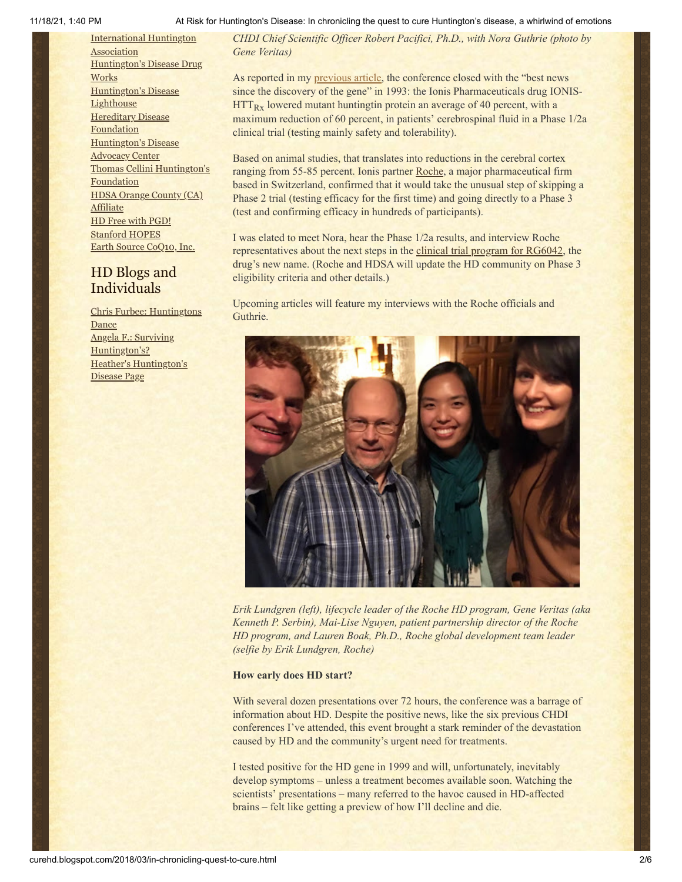[International](http://www.huntington-assoc.com/) Huntington **Association** [Huntington's](http://hddrugworks.org/) Disease Drug **Works** [Huntington's](http://www.hdlighthouse.org/) Disease **Lighthouse [Hereditary](http://www.hdfoundation.org/) Disease Foundation** [Huntington's](http://www.hdac.org/) Disease Advocacy Center Thomas [Cellini Huntington's](http://www.ourtchfoundation.org/) Foundation HDSA Orange County (CA) **[Affiliate](http://www.hdsaoc.org/)** HD Free with [PGD!](http://www.hdfreewithpgd.com/) [Stanford](http://www.stanford.edu/group/hopes/) HOPES Earth Source [CoQ10,](http://www.escoq10.com/) Inc.

# HD Blogs and Individuals

Chris Furbee: [Huntingtons](http://www.huntingtonsdance.org/) Dance Angela F.: Surviving [Huntington's?](http://survivinghuntingtons.blogspot.com/) Heather's [Huntington's](http://heatherdugdale.angelfire.com/) Disease Page

#### 11/18/21, 1:40 PM At Risk for Huntington's Disease: In chronicling the quest to cure Huntington's disease, a whirlwind of emotions

*CHDI Chief Scientific Officer Robert Pacifici, Ph.D., with Nora Guthrie (photo by Gene Veritas)*

As reported in my [previous article](http://curehd.blogspot.com/2018/03/ionis-phase-12a-clinical-trial-data.html), the conference closed with the "best news since the discovery of the gene" in 1993: the Ionis Pharmaceuticals drug IONIS-HTT<sub>Rx</sub> lowered mutant huntingtin protein an average of 40 percent, with a maximum reduction of 60 percent, in patients' cerebrospinal fluid in a Phase 1/2a clinical trial (testing mainly safety and tolerability).

Based on animal studies, that translates into reductions in the cerebral cortex ranging from 55-85 percent. Ionis partner [Roche](https://www.roche.com/), a major pharmaceutical firm based in Switzerland, confirmed that it would take the unusual step of skipping a Phase 2 trial (testing efficacy for the first time) and going directly to a Phase 3 (test and confirming efficacy in hundreds of participants).

I was elated to meet Nora, hear the Phase 1/2a results, and interview Roche representatives about the next steps in the [clinical trial program for RG6042](http://hdsa.org/wp-content/uploads/2018/03/Ionis-Roche-CHDI-HD-Community-Statement_01Mar2018.pdf), the drug's new name. (Roche and HDSA will update the HD community on Phase 3 eligibility criteria and other details.)

Upcoming articles will feature my interviews with the Roche officials and Guthrie.



*Erik Lundgren (left), lifecycle leader of the Roche HD program, Gene Veritas (aka Kenneth P. Serbin), Mai-Lise Nguyen, patient partnership director of the Roche HD program, and Lauren Boak, Ph.D., Roche global development team leader (selfie by Erik Lundgren, Roche)*

#### **How early does HD start?**

With several dozen presentations over 72 hours, the conference was a barrage of information about HD. Despite the positive news, like the six previous CHDI conferences I've attended, this event brought a stark reminder of the devastation caused by HD and the community's urgent need for treatments.

I tested positive for the HD gene in 1999 and will, unfortunately, inevitably develop symptoms – unless a treatment becomes available soon. Watching the scientists' presentations – many referred to the havoc caused in HD-affected brains – felt like getting a preview of how I'll decline and die.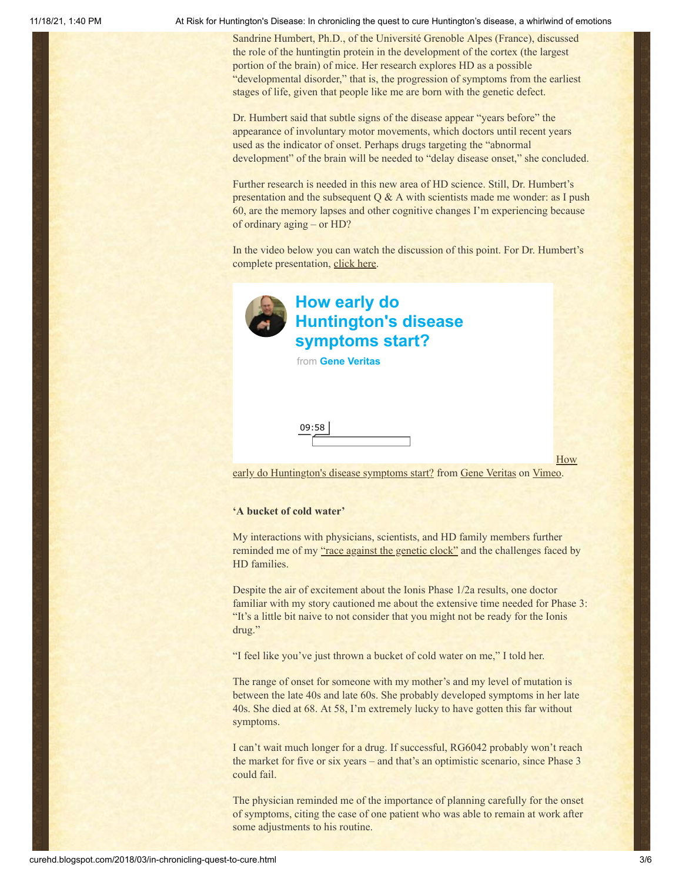11/18/21, 1:40 PM At Risk for Huntington's Disease: In chronicling the quest to cure Huntington's disease, a whirlwind of emotions

Sandrine Humbert, Ph.D., of the Université Grenoble Alpes (France), discussed the role of the huntingtin protein in the development of the cortex (the largest portion of the brain) of mice. Her research explores HD as a possible "developmental disorder," that is, the progression of symptoms from the earliest stages of life, given that people like me are born with the genetic defect.

Dr. Humbert said that subtle signs of the disease appear "years before" the appearance of involuntary motor movements, which doctors until recent years used as the indicator of onset. Perhaps drugs targeting the "abnormal development" of the brain will be needed to "delay disease onset," she concluded.

Further research is needed in this new area of HD science. Still, Dr. Humbert's presentation and the subsequent  $Q & A$  with scientists made me wonder: as I push 60, are the memory lapses and other cognitive changes I'm experiencing because of ordinary aging – or HD?

In the video below you can watch the discussion of this point. For Dr. Humbert's complete presentation, [click here.](https://vimeo.com/260121505)



# **How early do [Huntington's disease](https://vimeo.com/260107847?embedded=true&source=video_title&owner=6019843) symptoms start?**

from **[Gene Veritas](https://vimeo.com/user6019843?embedded=true&source=owner_name&owner=6019843)**

09:58

**How** 

[early do Huntington's disease symptoms start? from Gene Veritas on Vimeo.](https://vimeo.com/260107847)

#### **'A bucket of cold water'**

My interactions with physicians, scientists, and HD family members further reminded me of my ["race against the genetic clock"](https://www.chronicle.com/article/Racing-Against-the-Genetic/135542) and the challenges faced by HD families.

Despite the air of excitement about the Ionis Phase 1/2a results, one doctor familiar with my story cautioned me about the extensive time needed for Phase 3: "It's a little bit naive to not consider that you might not be ready for the Ionis drug."

"I feel like you've just thrown a bucket of cold water on me," I told her.

The range of onset for someone with my mother's and my level of mutation is between the late 40s and late 60s. She probably developed symptoms in her late 40s. She died at 68. At 58, I'm extremely lucky to have gotten this far without symptoms.

I can't wait much longer for a drug. If successful, RG6042 probably won't reach the market for five or six years – and that's an optimistic scenario, since Phase 3 could fail.

The physician reminded me of the importance of planning carefully for the onset of symptoms, citing the case of one patient who was able to remain at work after some adjustments to his routine.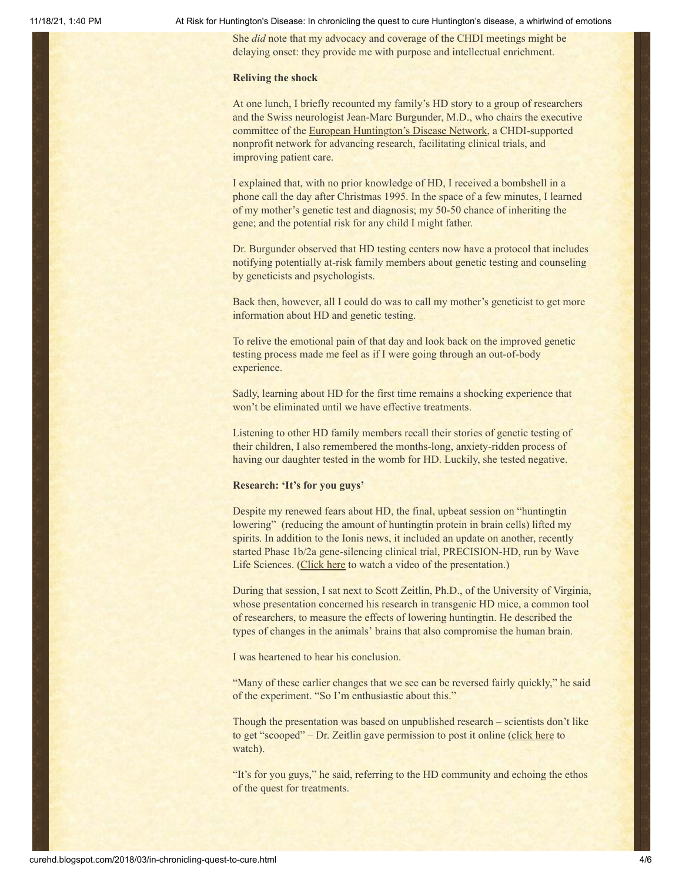#### 11/18/21, 1:40 PM At Risk for Huntington's Disease: In chronicling the quest to cure Huntington's disease, a whirlwind of emotions

She *did* note that my advocacy and coverage of the CHDI meetings might be delaying onset: they provide me with purpose and intellectual enrichment.

#### **Reliving the shock**

At one lunch, I briefly recounted my family's HD story to a group of researchers and the Swiss neurologist Jean-Marc Burgunder, M.D., who chairs the executive committee of the [European Huntington's Disease Network,](http://www.ehdn.org/) a CHDI-supported nonprofit network for advancing research, facilitating clinical trials, and improving patient care.

I explained that, with no prior knowledge of HD, I received a bombshell in a phone call the day after Christmas 1995. In the space of a few minutes, I learned of my mother's genetic test and diagnosis; my 50-50 chance of inheriting the gene; and the potential risk for any child I might father.

Dr. Burgunder observed that HD testing centers now have a protocol that includes notifying potentially at-risk family members about genetic testing and counseling by geneticists and psychologists.

Back then, however, all I could do was to call my mother's geneticist to get more information about HD and genetic testing.

To relive the emotional pain of that day and look back on the improved genetic testing process made me feel as if I were going through an out-of-body experience.

Sadly, learning about HD for the first time remains a shocking experience that won't be eliminated until we have effective treatments.

Listening to other HD family members recall their stories of genetic testing of their children, I also remembered the months-long, anxiety-ridden process of having our daughter tested in the womb for HD. Luckily, she tested negative.

#### **Research: 'It's for you guys'**

Despite my renewed fears about HD, the final, upbeat session on "huntingtin lowering" (reducing the amount of huntingtin protein in brain cells) lifted my spirits. In addition to the Ionis news, it included an update on another, recently started Phase 1b/2a gene-silencing clinical trial, PRECISION-HD, run by Wave Life Sciences. ([Click here](https://vimeo.com/260153345) to watch a video of the presentation.)

During that session, I sat next to Scott Zeitlin, Ph.D., of the University of Virginia, whose presentation concerned his research in transgenic HD mice, a common tool of researchers, to measure the effects of lowering huntingtin. He described the types of changes in the animals' brains that also compromise the human brain.

I was heartened to hear his conclusion.

"Many of these earlier changes that we see can be reversed fairly quickly," he said of the experiment. "So I'm enthusiastic about this."

Though the presentation was based on unpublished research – scientists don't like to get "scooped" – Dr. Zeitlin gave permission to post it online ([click here](https://vimeo.com/258434442) to watch).

"It's for you guys," he said, referring to the HD community and echoing the ethos of the quest for treatments.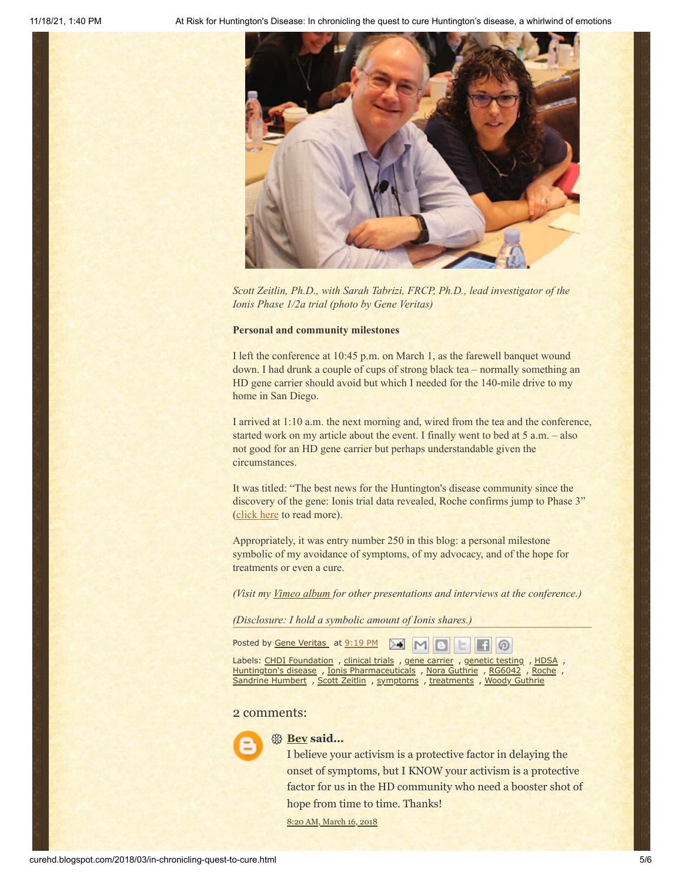

*Scott Zeitlin, Ph.D., with Sarah Tabrizi, FRCP, Ph.D., lead investigator of the Ionis Phase 1/2a trial (photo by Gene Veritas)*

#### **Personal and community milestones**

I left the conference at 10:45 p.m. on March 1, as the farewell banquet wound down. I had drunk a couple of cups of strong black tea – normally something an HD gene carrier should avoid but which I needed for the 140-mile drive to my home in San Diego.

I arrived at 1:10 a.m. the next morning and, wired from the tea and the conference, started work on my article about the event. I finally went to bed at 5 a.m. – also not good for an HD gene carrier but perhaps understandable given the circumstances.

It was titled: "The best news for the Huntington's disease community since the discovery of the gene: Ionis trial data revealed, Roche confirms jump to Phase 3" [\(click here](http://curehd.blogspot.com/2018/03/ionis-phase-12a-clinical-trial-data.html) to read more).

Appropriately, it was entry number 250 in this blog: a personal milestone symbolic of my avoidance of symptoms, of my advocacy, and of the hope for treatments or even a cure.

*(Visit my [Vimeo album](https://vimeo.com/album/5022031) for other presentations and interviews at the conference.)*

*(Disclosure: I hold a symbolic amount of Ionis shares.)*

Posted by Gene [Veritas](https://www.blogger.com/profile/10911736205741688185) at [9:19](http://curehd.blogspot.com/2018/03/in-chronicling-quest-to-cure.html) PM

Labels: CHDI [Foundation](http://curehd.blogspot.com/search/label/CHDI%20Foundation) , [clinical](http://curehd.blogspot.com/search/label/clinical%20trials) trials , gene [carrier](http://curehd.blogspot.com/search/label/gene%20carrier) , [genetic](http://curehd.blogspot.com/search/label/genetic%20testing) testing , [HDSA](http://curehd.blogspot.com/search/label/HDSA) , [Huntington's](http://curehd.blogspot.com/search/label/Huntington%27s%20disease) disease, Ionis [Pharmaceuticals](http://curehd.blogspot.com/search/label/Ionis%20Pharmaceuticals), Nora [Guthrie](http://curehd.blogspot.com/search/label/Nora%20Guthrie), [RG6042](http://curehd.blogspot.com/search/label/RG6042), [Roche](http://curehd.blogspot.com/search/label/Roche), [Sandrine](http://curehd.blogspot.com/search/label/Sandrine%20Humbert) Humbert , Scott [Zeitlin](http://curehd.blogspot.com/search/label/Scott%20Zeitlin) , [symptoms](http://curehd.blogspot.com/search/label/symptoms) , [treatments](http://curehd.blogspot.com/search/label/treatments) , Woody [Guthrie](http://curehd.blogspot.com/search/label/Woody%20Guthrie)

#### 2 comments:



#### **[Bev](https://www.blogger.com/profile/03503485303129848329) said...**

I believe your activism is a protective factor in delaying the onset of symptoms, but I KNOW your activism is a protective factor for us in the HD community who need a booster shot of hope from time to time. Thanks!

 $\omega$ 

8:20 AM, [March](http://curehd.blogspot.com/2018/03/in-chronicling-quest-to-cure.html?showComment=1521213634710#c4714739784004212837) 16, 2018